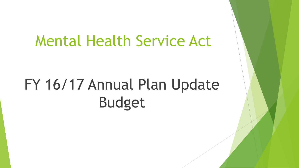## Mental Health Service Act

# FY 16/17 Annual Plan Update Budget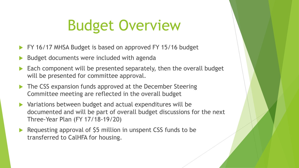# Budget Overview

- FY 16/17 MHSA Budget is based on approved FY 15/16 budget
- Budget documents were included with agenda
- Each component will be presented separately, then the overall budget will be presented for committee approval.
- ▶ The CSS expansion funds approved at the December Steering Committee meeting are reflected in the overall budget
- Variations between budget and actual expenditures will be documented and will be part of overall budget discussions for the next Three-Year Plan (FY 17/18-19/20)
- ▶ Requesting approval of \$5 million in unspent CSS funds to be transferred to CalHFA for housing.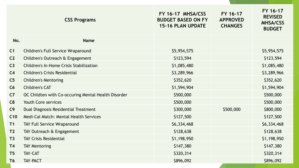|                 | <b>CSS Programs</b>                                 | FY 16-17 MHSA/CSS<br><b>BUDGET BASED ON FY</b><br><b>15-16 PLAN UPDATE</b> | FY 16-17<br><b>APPROVED</b><br><b>CHANGES</b> | FY 16-17<br><b>REVISED</b><br><b>MHSA/CSS</b><br><b>BUDGET</b> |
|-----------------|-----------------------------------------------------|----------------------------------------------------------------------------|-----------------------------------------------|----------------------------------------------------------------|
| No.             | <b>Name</b>                                         |                                                                            |                                               |                                                                |
| C <sub>1</sub>  | <b>Children's Full Service Wraparound</b>           | \$5,954,575                                                                |                                               | \$5,954,575                                                    |
| C <sub>2</sub>  | Children's Outreach & Engagement                    | \$123,594                                                                  |                                               | \$123,594                                                      |
| C <sub>3</sub>  | <b>Children's In-Home Crisis Stabilization</b>      | \$1,085,480                                                                |                                               | \$1,085,480                                                    |
| C <sub>4</sub>  | <b>Children's Crisis Residential</b>                | \$3,289,966                                                                |                                               | \$3,289,966                                                    |
| C <sub>5</sub>  | <b>Children's Mentoring</b>                         | \$352,620                                                                  |                                               | \$352,620                                                      |
| C6              | <b>Children's CAT</b>                               | \$1,594,904                                                                |                                               | \$1,594,904                                                    |
| C <sub>7</sub>  | OC Childten with Co-occuring Mental Health Disorder | \$500,000                                                                  |                                               | \$500,000                                                      |
| C8              | <b>Youth Core services</b>                          | \$500,000                                                                  |                                               | \$500,000                                                      |
| C9              | Dual Diagnosis Residential Treatment                | \$300,000                                                                  | \$500,000                                     | \$800,000                                                      |
| C <sub>10</sub> | Medi-Cal Match: Mental Health Services              | \$127,500                                                                  |                                               | \$127,500                                                      |
| T1              | <b>TAY Full Service Wraparound</b>                  | \$6,334,468                                                                |                                               | \$6,334,468                                                    |
| T <sub>2</sub>  | TAY Outreach & Engagement                           | \$128,638                                                                  |                                               | \$128,638                                                      |
| T3              | <b>TAY Crisis Residential</b>                       | \$1,198,950                                                                |                                               | \$1,198,950                                                    |
| <b>T4</b>       | <b>TAY Mentoring</b>                                | \$147,380                                                                  |                                               | \$147,380                                                      |
| T <sub>5</sub>  | <b>TAY-CAT</b>                                      | \$320,314                                                                  |                                               | \$320,314                                                      |
| T <sub>6</sub>  | <b>TAY-PACT</b>                                     | \$896,092                                                                  |                                               | \$896,092                                                      |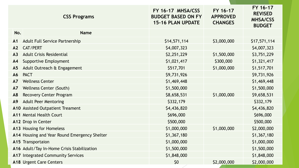|                | <b>CSS Programs</b>                          | FY 16-17 MHSA/CSS<br><b>BUDGET BASED ON FY</b><br><b>15-16 PLAN UPDATE</b> | FY 16-17<br><b>APPROVED</b><br><b>CHANGES</b> | FY 16-17<br><b>REVISED</b><br><b>MHSA/CSS</b><br><b>BUDGET</b> |
|----------------|----------------------------------------------|----------------------------------------------------------------------------|-----------------------------------------------|----------------------------------------------------------------|
| No.            | <b>Name</b>                                  |                                                                            |                                               |                                                                |
| A <sub>1</sub> | <b>Adult Full Service Partnership</b>        | \$14,571,114                                                               | \$3,000,000                                   | \$17,571,114                                                   |
| A2             | <b>CAT/PERT</b>                              | \$4,007,323                                                                |                                               | \$4,007,323                                                    |
| A3             | <b>Adult Crisis Residential</b>              | \$2,251,229                                                                | \$1,500,000                                   | \$3,751,229                                                    |
| A <sub>4</sub> | <b>Supportive Employment</b>                 | \$1,021,417                                                                | \$300,000                                     | \$1,321,417                                                    |
| A <sub>5</sub> | Adult Outreach & Engagement                  | \$517,701                                                                  | \$1,000,000                                   | \$1,517,701                                                    |
| A6             | <b>PACT</b>                                  | \$9,731,926                                                                |                                               | \$9,731,926                                                    |
| A7             | <b>Wellness Center</b>                       | \$1,469,448                                                                |                                               | \$1,469,448                                                    |
| A7             | <b>Wellness Center (South)</b>               | \$1,500,000                                                                |                                               | \$1,500,000                                                    |
| A <sub>8</sub> | <b>Recovery Center Program</b>               | \$8,658,531                                                                | \$1,000,000                                   | \$9,658,531                                                    |
| A9             | <b>Adult Peer Mentoring</b>                  | \$332,179                                                                  |                                               | \$332,179                                                      |
|                | A10 Assisted Outpatient Treament             | \$4,436,820                                                                |                                               | \$4,436,820                                                    |
|                | A11 Mental Health Court                      | \$696,000                                                                  |                                               | \$696,000                                                      |
|                | A12 Drop in Center                           | \$500,000                                                                  |                                               | \$500,000                                                      |
|                | A13 Housing for Homeless                     | \$1,000,000                                                                | \$1,000,000                                   | \$2,000,000                                                    |
|                | A14 Housing and Year Round Emergency Shelter | \$1,367,180                                                                |                                               | \$1,367,180                                                    |
|                | A15 Transportaion                            | \$1,000,000                                                                |                                               | \$1,000,000                                                    |
|                | A16 Adult/Tay In-Home Crisis Stabilization   | \$1,500,000                                                                |                                               | \$1,500,000                                                    |
|                | A17 Integrated Community Services            | \$1,848,000                                                                |                                               | \$1,848,000                                                    |
|                | <b>A18 Urgent Care Centers</b>               | \$0                                                                        | \$2,000,000                                   | \$2,000,000                                                    |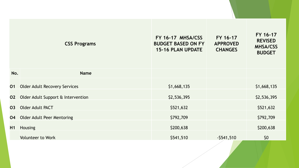|     | <b>CSS Programs</b>                  | FY 16-17 MHSA/CSS<br><b>BUDGET BASED ON FY</b><br><b>15-16 PLAN UPDATE</b> | FY 16-17<br><b>APPROVED</b><br><b>CHANGES</b> | FY 16-17<br><b>REVISED</b><br><b>MHSA/CSS</b><br><b>BUDGET</b> |
|-----|--------------------------------------|----------------------------------------------------------------------------|-----------------------------------------------|----------------------------------------------------------------|
| No. | <b>Name</b>                          |                                                                            |                                               |                                                                |
| 01  | <b>Older Adult Recovery Services</b> | \$1,668,135                                                                |                                               | \$1,668,135                                                    |
| 02  | Older Adult Support & Intervention   | \$2,536,395                                                                |                                               | \$2,536,395                                                    |
| 03  | <b>Older Adult PACT</b>              | \$521,632                                                                  |                                               | \$521,632                                                      |
| 04  | <b>Older Adult Peer Mentoring</b>    | \$792,709                                                                  |                                               | \$792,709                                                      |
| H1  | <b>Housing</b>                       | \$200,638                                                                  |                                               | \$200,638                                                      |
|     | <b>Volunteer to Work</b>             | \$541,510                                                                  | $-$ \$541,510                                 | \$0                                                            |
|     |                                      |                                                                            |                                               |                                                                |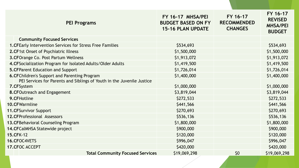| <b>PEI Programs</b>                                                    | FY 16-17 MHSA/PEI<br><b>BUDGET BASED ON FY</b><br><b>15-16 PLAN UPDATE</b> | FY 16-17<br><b>RECOMMENDED</b><br><b>CHANGES</b> | FY 16-17<br><b>REVISED</b><br><b>MHSA/PEI</b><br><b>BUDGET</b> |
|------------------------------------------------------------------------|----------------------------------------------------------------------------|--------------------------------------------------|----------------------------------------------------------------|
| <b>Community Focused Services</b>                                      |                                                                            |                                                  |                                                                |
| <b>1. CFEarly Intervention Services for Stress Free Families</b>       | \$534,693                                                                  |                                                  | \$534,693                                                      |
| 2. CF1st Onset of Psychiatric Illness                                  | \$1,500,000                                                                |                                                  | \$1,500,000                                                    |
| <b>3.CFOrange Co. Post Partum Wellness</b>                             | \$1,913,072                                                                |                                                  | \$1,913,072                                                    |
| 4. CFS ocialization Program for Isolated Adults/Older Adults           | \$1,419,500                                                                |                                                  | \$1,419,500                                                    |
| <b>5. CFParent Education and Support</b>                               | \$1,726,014                                                                |                                                  | \$1,726,014                                                    |
| <b>6.CFChildren's Support and Parenting Program</b>                    | \$1,400,000                                                                |                                                  | \$1,400,000                                                    |
| PEI Services for Parents and Siblings of Youth in the Juvenile Justice |                                                                            |                                                  |                                                                |
| 7.CFSystem                                                             | \$1,000,000                                                                |                                                  | \$1,000,000                                                    |
| 8. CFOutreach and Engagement                                           | \$3,819,044                                                                |                                                  | \$3,819,044                                                    |
| 9.CFHotline                                                            | \$272,533                                                                  |                                                  | \$272,533                                                      |
| 10.CFWarmline                                                          | \$441,566                                                                  |                                                  | \$441,566                                                      |
| <b>11. CFSurvivor Support</b>                                          | \$270,693                                                                  |                                                  | \$270,693                                                      |
| <b>12.CFProfessional Assessors</b>                                     | \$536,136                                                                  |                                                  | \$536,136                                                      |
| 13. CFBehavioral Counseling Program                                    | \$1,800,000                                                                |                                                  | \$1,800,000                                                    |
| 14. CFCalMHSA Statewide project                                        | \$900,000                                                                  |                                                  | \$900,000                                                      |
| <b>15.CFK-12</b>                                                       | \$120,000                                                                  |                                                  | \$120,000                                                      |
| 16.CFOC4VETS                                                           | \$996,047                                                                  |                                                  | \$996,047                                                      |
| <b>17. CFOC ACCEPT</b>                                                 | \$420,000                                                                  |                                                  | \$420,000                                                      |
| <b>Total Community Focused Services</b>                                | \$19,069,298                                                               | \$0                                              | \$19,069,298                                                   |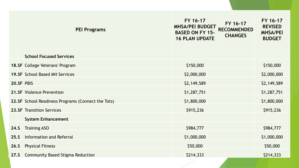|            | <b>PEI Programs</b>                                | FY 16-17<br><b>MHSA/PEI BUDGET</b><br><b>BASED ON FY 15-</b><br><b>16 PLAN UPDATE</b> | FY 16-17<br><b>RECOMMENDED</b><br><b>CHANGES</b> | FY 16-17<br><b>REVISED</b><br><b>MHSA/PEI</b><br><b>BUDGET</b> |
|------------|----------------------------------------------------|---------------------------------------------------------------------------------------|--------------------------------------------------|----------------------------------------------------------------|
|            | <b>School Focused Services</b>                     |                                                                                       |                                                  |                                                                |
|            | <b>18.SF College Veterans' Program</b>             | \$150,000                                                                             |                                                  | \$150,000                                                      |
|            | <b>19.SF School Based MH Services</b>              | \$2,000,000                                                                           |                                                  | \$2,000,000                                                    |
| 20.SF PBIS |                                                    | \$2,149,589                                                                           |                                                  | \$2,149,589                                                    |
|            | <b>21.SF</b> Violence Prevention                   | \$1,287,751                                                                           |                                                  | \$1,287,751                                                    |
|            | 22.SF School Readiness Programs (Connect the Tots) | \$1,800,000                                                                           |                                                  | \$1,800,000                                                    |
|            | <b>23.SF</b> Transition Services                   | \$915,236                                                                             |                                                  | \$915,236                                                      |
|            | <b>System Enhancement</b>                          |                                                                                       |                                                  |                                                                |
| 24.S       | <b>Training ASO</b>                                | \$984,777                                                                             |                                                  | \$984,777                                                      |
| 25.S       | Information and Referral                           | \$1,000,000                                                                           |                                                  | \$1,000,000                                                    |
| 26.5       | <b>Physical Fitness</b>                            | \$50,000                                                                              |                                                  | \$50,000                                                       |
| 27.5       | <b>Community Based Stigma Reduction</b>            | \$214,333                                                                             |                                                  | \$214,333                                                      |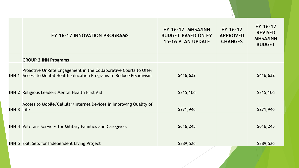|                   | FY 16-17 INNOVATION PROGRAMS                                                                                                                      | FY 16-17 MHSA/INN<br><b>BUDGET BASED ON FY</b><br><b>15-16 PLAN UPDATE</b> | FY 16-17<br><b>APPROVED</b><br><b>CHANGES</b> | FY 16-17<br><b>REVISED</b><br><b>MHSA/INN</b><br><b>BUDGET</b> |
|-------------------|---------------------------------------------------------------------------------------------------------------------------------------------------|----------------------------------------------------------------------------|-----------------------------------------------|----------------------------------------------------------------|
|                   | <b>GROUP 2 INN Programs</b>                                                                                                                       |                                                                            |                                               |                                                                |
|                   | Proactive On-Site Engagement in the Collaborative Courts to Offer<br><b>INN 1</b> Access to Mental Health Education Programs to Reduce Recidivism | \$416,622                                                                  |                                               | \$416,622                                                      |
|                   | <b>INN 2 Religious Leaders Mental Health First Aid</b>                                                                                            | \$315,106                                                                  |                                               | \$315,106                                                      |
| <b>INN 3 Life</b> | Access to Mobile/Cellular/Internet Devices in Improving Quality of                                                                                | \$271,946                                                                  |                                               | \$271,946                                                      |
|                   | <b>INN 4 Veterans Services for Military Families and Caregivers</b>                                                                               | \$616,245                                                                  |                                               | \$616,245                                                      |
|                   | <b>INN 5</b> Skill Sets for Independent Living Project                                                                                            | \$389,526                                                                  |                                               | \$389,526                                                      |
|                   |                                                                                                                                                   |                                                                            |                                               |                                                                |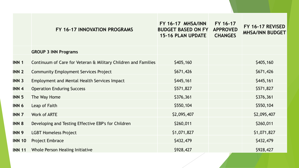#### **FY 16-17 INNOVATION PROGRAMS**

**FY 16-17 MHSA/INN BUDGET BASED ON FY APPROVED 15-16 PLAN UPDATE CHANGES FY 16-17** 

### **FY 16-17 REVISED MHSA/INN BUDGET**

|                  | <b>GROUP 3 INN Programs</b>                                    |             |             |
|------------------|----------------------------------------------------------------|-------------|-------------|
| <b>INN 1</b>     | Continuum of Care for Veteran & Military Children and Families | \$405,160   | \$405,160   |
| <b>INN 2</b>     | <b>Community Employment Services Project</b>                   | \$671,426   | \$671,426   |
| <b>INN 3</b>     | <b>Employment and Mental Health Services Impact</b>            | \$445,161   | \$445,161   |
| INN <sub>4</sub> | <b>Operation Enduring Success</b>                              | \$571,827   | \$571,827   |
| <b>INN 5</b>     | The Way Home                                                   | \$376,361   | \$376,361   |
| INN 6            | Leap of Faith                                                  | \$550,104   | \$550,104   |
| <b>INN 7</b>     | <b>Work of ARTE</b>                                            | \$2,095,407 | \$2,095,407 |
| <b>INN 8</b>     | Developing and Testing Effective EBP's for Children            | \$260,011   | \$260,011   |
| <b>INN 9</b>     | <b>LGBT Homeless Project</b>                                   | \$1,071,827 | \$1,071,827 |
| <b>INN 10</b>    | Project Embrace                                                | \$432,479   | \$432,479   |
| <b>INN 11</b>    | Whole Person Healing Initiative                                | \$928,427   | \$928,427   |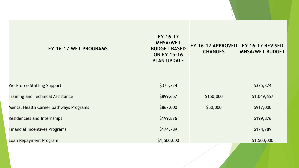| FY 16-17 WET PROGRAMS                    | FY 16-17<br><b>MHSA/WET</b><br><b>BUDGET BASED</b><br><b>ON FY 15-16</b><br><b>PLAN UPDATE</b> | FY 16-17 APPROVED FY 16-17 REVISED<br><b>CHANGES</b> | <b>MHSA/WET BUDGET</b> |
|------------------------------------------|------------------------------------------------------------------------------------------------|------------------------------------------------------|------------------------|
| <b>Workforce Staffing Support</b>        | \$375,324                                                                                      |                                                      | \$375,324              |
| <b>Training and Technical Assistance</b> | \$899,657                                                                                      | \$150,000                                            | \$1,049,657            |
| Mental Health Career pathways Programs   | \$867,000                                                                                      | \$50,000                                             | \$917,000              |
| Residencies and Internships              | \$199,876                                                                                      |                                                      | \$199,876              |
| <b>Financial Incentives Programs</b>     | \$174,789                                                                                      |                                                      | \$174,789              |
| Loan Repayment Program                   | \$1,500,000                                                                                    |                                                      | \$1,500,000            |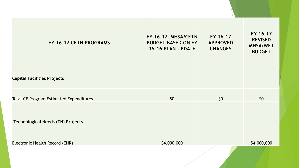| FY 16-17 CFTN PROGRAMS                         | FY 16-17 MHSA/CFTN<br><b>BUDGET BASED ON FY</b><br><b>15-16 PLAN UPDATE</b> | FY 16-17<br><b>APPROVED</b><br><b>CHANGES</b> | FY 16-17<br><b>REVISED</b><br><b>MHSA/WET</b><br><b>BUDGET</b> |
|------------------------------------------------|-----------------------------------------------------------------------------|-----------------------------------------------|----------------------------------------------------------------|
| <b>Capital Facilities Projects</b>             |                                                                             |                                               |                                                                |
| <b>Total CF Program Estimated Expenditures</b> | \$0                                                                         | \$0                                           | \$0                                                            |
| <b>Technological Needs (TN) Projects</b>       |                                                                             |                                               |                                                                |
| Electronic Health Record (EHR)                 | \$4,000,000                                                                 |                                               | \$4,000,000                                                    |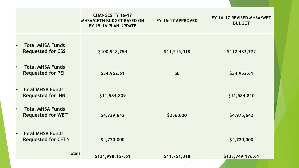|           |                                                      | <b>CHANGES FY 16-17</b><br><b>MHSA/CFTN BUDGET BASED ON</b><br>FY 15-16 PLAN UPDATE | FY 16-17 APPROVED | FY 16-17 REVISED MHSA/WET<br><b>BUDGET</b> |
|-----------|------------------------------------------------------|-------------------------------------------------------------------------------------|-------------------|--------------------------------------------|
| $\bullet$ | <b>Total MHSA Funds</b><br><b>Requested for CSS</b>  | \$100,918,754                                                                       | \$11,515,018      | \$112,433,772                              |
| $\bullet$ | <b>Total MHSA Funds</b><br><b>Requested for PEI</b>  | \$34,952.61                                                                         | \$0\$             | \$34,952.61                                |
| $\bullet$ | <b>Total MHSA Funds</b><br><b>Requested for INN</b>  | \$11,584,809                                                                        |                   | \$11,584,810                               |
| $\bullet$ | <b>Total MHSA Funds</b><br><b>Requested for WET</b>  | \$4,739,642                                                                         | \$236,000         | \$4,975,642                                |
| $\bullet$ | <b>Total MHSA Funds</b><br><b>Requested for CFTN</b> | \$4,720,000                                                                         |                   | \$4,720,000                                |
|           | <b>Totals</b>                                        | \$121,998,157.61                                                                    | \$11,751,018      | \$133,749,176.61                           |
|           |                                                      |                                                                                     |                   |                                            |